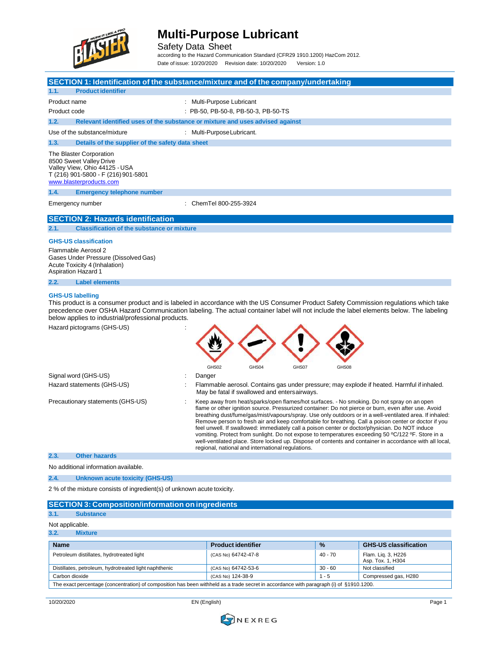

Safety Data Sheet according to the Hazard Communication Standard (CFR29 1910.1200) HazCom 2012.

Date of issue: 10/20/2020 Revision date: 10/20/2020 Version: 1.0



No additional information available.

### **2.4. Unknown acute toxicity (GHS-US)**

2 % of the mixture consists of ingredient(s) of unknown acute toxicity.

| <b>SECTION 3: Composition/information on ingredients</b> |                           |               |                                         |
|----------------------------------------------------------|---------------------------|---------------|-----------------------------------------|
| 3.1.<br><b>Substance</b>                                 |                           |               |                                         |
| Not applicable.                                          |                           |               |                                         |
| 3.2.<br><b>Mixture</b>                                   |                           |               |                                         |
| <b>Name</b>                                              | <b>Product identifier</b> | $\frac{9}{6}$ | <b>GHS-US classification</b>            |
| Petroleum distillates, hydrotreated light                | (CAS No) 64742-47-8       | 40 - 70       | Flam. Lig. 3, H226<br>Asp. Tox. 1, H304 |
| Distillates, petroleum, hydrotreated light naphthenic    | (CAS No) 64742-53-6       | $30 - 60$     | Not classified                          |
| Carbon dioxide                                           | (CAS No) 124-38-9         | $1 - 5$       | Compressed gas, H280                    |
|                                                          |                           | .             |                                         |

The exact percentage (concentration) of composition has been withheld as a trade secret in accordance with paragraph (i) of §1910.1200.

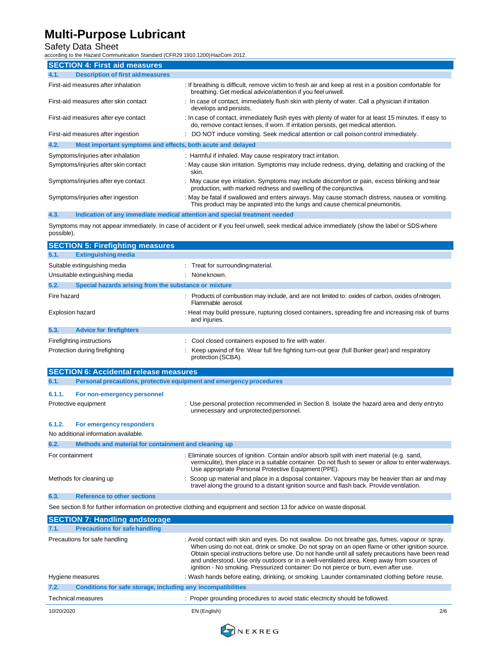### Safety Data Sheet

according to the Hazard Communication Standard (CFR29 1910.1200)HazCom 2012.

| <b>SECTION 4: First aid measures</b>                                |                                                                                                                                                                                             |
|---------------------------------------------------------------------|---------------------------------------------------------------------------------------------------------------------------------------------------------------------------------------------|
| <b>Description of first aidmeasures</b><br>4.1.                     |                                                                                                                                                                                             |
| First-aid measures after inhalation                                 | If breathing is difficult, remove victim to fresh air and keep at rest in a position comfortable for<br>breathing. Get medical advice/attention if you feel unwell.                         |
| First-aid measures after skin contact                               | : In case of contact, immediately flush skin with plenty of water. Call a physician if irritation<br>develops and persists.                                                                 |
| First-aid measures after eye contact                                | : In case of contact, immediately flush eyes with plenty of water for at least 15 minutes. If easy to<br>do, remove contact lenses, if worn. If irritation persists, get medical attention. |
| First-aid measures after ingestion                                  | DO NOT induce vomiting. Seek medical attention or call poison control immediately.                                                                                                          |
| 4.2.<br>Most important symptoms and effects, both acute and delayed |                                                                                                                                                                                             |
| Symptoms/injuries after inhalation                                  | : Harmful if inhaled. May cause respiratory tract irritation.                                                                                                                               |
| Symptoms/injuries after skin contact                                | : May cause skin irritation. Symptoms may include redness, drying, defatting and cracking of the<br>skin.                                                                                   |
| Symptoms/injuries after eye contact                                 | : May cause eye irritation. Symptoms may include discomfort or pain, excess blinking and tear<br>production, with marked redness and swelling of the conjunctiva.                           |
| Symptoms/injuries after ingestion                                   | : May be fatal if swallowed and enters airways. May cause stomach distress, nausea or vomiting.<br>This product may be aspirated into the lungs and cause chemical pneumonitis.             |

**4.3. Indication of any immediate medical attention and special treatment needed**

Symptoms may not appear immediately. In case of accident or if you feel unwell, seek medical advice immediately (show the label or SDSwhere possible).

|                  | <b>SECTION 5: Firefighting measures</b>               |                                                                                                                         |
|------------------|-------------------------------------------------------|-------------------------------------------------------------------------------------------------------------------------|
| 5.1.             | <b>Extinguishing media</b>                            |                                                                                                                         |
|                  | Suitable extinguishing media                          | : Treat for surrounding material.                                                                                       |
|                  | Unsuitable extinguishing media                        | : None known.                                                                                                           |
| 5.2.             | Special hazards arising from the substance or mixture |                                                                                                                         |
| Fire hazard      |                                                       | Products of combustion may include, and are not limited to: oxides of carbon, oxides of nitrogen.<br>Flammable aerosol. |
| Explosion hazard |                                                       | : Heat may build pressure, rupturing closed containers, spreading fire and increasing risk of burns<br>and injuries.    |
| 5.3.             | <b>Advice for firefighters</b>                        |                                                                                                                         |
|                  | Firefighting instructions                             | Cool closed containers exposed to fire with water.                                                                      |
|                  | Protection during firefighting                        | Keep upwind of fire. Wear full fire fighting turn-out gear (full Bunker gear) and respiratory<br>protection (SCBA).     |

|                                | <b>SECTION 6: Accidental release measures</b>                       |                                                                                                                                                                                                                                                                                                                                                                                                                                                                                             |  |
|--------------------------------|---------------------------------------------------------------------|---------------------------------------------------------------------------------------------------------------------------------------------------------------------------------------------------------------------------------------------------------------------------------------------------------------------------------------------------------------------------------------------------------------------------------------------------------------------------------------------|--|
| 6.1.                           | Personal precautions, protective equipment and emergency procedures |                                                                                                                                                                                                                                                                                                                                                                                                                                                                                             |  |
| 6.1.1.<br>Protective equipment | For non-emergency personnel                                         | : Use personal protection recommended in Section 8. Isolate the hazard area and deny entryto<br>unnecessary and unprotected personnel.                                                                                                                                                                                                                                                                                                                                                      |  |
| 6.1.2.                         | For emergency responders                                            |                                                                                                                                                                                                                                                                                                                                                                                                                                                                                             |  |
|                                | No additional information available.                                |                                                                                                                                                                                                                                                                                                                                                                                                                                                                                             |  |
| 6.2.                           | Methods and material for containment and cleaning up                |                                                                                                                                                                                                                                                                                                                                                                                                                                                                                             |  |
| For containment                |                                                                     | : Eliminate sources of ignition. Contain and/or absorb spill with inert material (e.g. sand,<br>vermiculite), then place in a suitable container. Do not flush to sewer or allow to enter waterways.<br>Use appropriate Personal Protective Equipment (PPE).                                                                                                                                                                                                                                |  |
| Methods for cleaning up        |                                                                     | Scoop up material and place in a disposal container. Vapours may be heavier than air and may<br>travel along the ground to a distant ignition source and flash back. Provide ventilation.                                                                                                                                                                                                                                                                                                   |  |
| 6.3.                           | <b>Reference to other sections</b>                                  |                                                                                                                                                                                                                                                                                                                                                                                                                                                                                             |  |
|                                |                                                                     | See section 8 for further information on protective clothing and equipment and section 13 for advice on waste disposal.                                                                                                                                                                                                                                                                                                                                                                     |  |
|                                | <b>SECTION 7: Handling andstorage</b>                               |                                                                                                                                                                                                                                                                                                                                                                                                                                                                                             |  |
| 7.1.                           | <b>Precautions for safe handling</b>                                |                                                                                                                                                                                                                                                                                                                                                                                                                                                                                             |  |
|                                | Precautions for safe handling                                       | : Avoid contact with skin and eyes. Do not swallow. Do not breathe gas, fumes, vapour or spray.<br>When using do not eat, drink or smoke. Do not spray on an open flame or other ignition source.<br>Obtain special instructions before use. Do not handle until all safety precautions have been read<br>and understood. Use only outdoors or in a well-ventilated area. Keep away from sources of<br>ignition - No smoking. Pressurized container: Do not pierce or burn, even after use. |  |
| Hygiene measures               |                                                                     | : Wash hands before eating, drinking, or smoking. Launder contaminated clothing before reuse.                                                                                                                                                                                                                                                                                                                                                                                               |  |
| 7.2.                           | Conditions for safe storage, including any incompatibilities        |                                                                                                                                                                                                                                                                                                                                                                                                                                                                                             |  |
| Technical measures             |                                                                     | : Proper grounding procedures to avoid static electricity should be followed.                                                                                                                                                                                                                                                                                                                                                                                                               |  |

10/20/2020 EN (English) 2/6

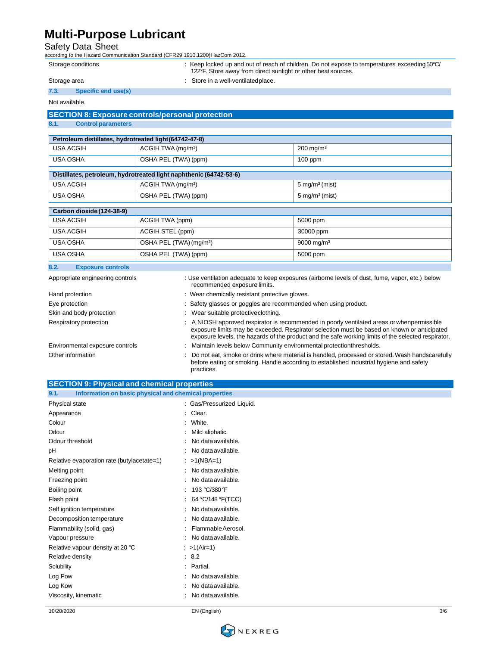Safety Data Sheet according to the Hazard Communication Standard (CFR29 1910.1200)HazCom 2012.

| Storage conditions               |                                                                    | : Keep locked up and out of reach of children. Do not expose to temperatures exceeding 50°C/<br>122°F. Store away from direct sunlight or other heat sources. |
|----------------------------------|--------------------------------------------------------------------|---------------------------------------------------------------------------------------------------------------------------------------------------------------|
| Storage area                     | Store in a well-ventilatedplace.                                   |                                                                                                                                                               |
| 7.3.                             | Specific end use(s)                                                |                                                                                                                                                               |
| Not available.                   |                                                                    |                                                                                                                                                               |
|                                  | <b>SECTION 8: Exposure controls/personal protection</b>            |                                                                                                                                                               |
| 8.1.                             | <b>Control parameters</b>                                          |                                                                                                                                                               |
|                                  | Petroleum distillates, hydrotreated light (64742-47-8)             |                                                                                                                                                               |
| <b>USA ACGIH</b>                 | ACGIH TWA (mg/m <sup>3</sup> )                                     | $200$ mg/m <sup>3</sup>                                                                                                                                       |
| <b>USA OSHA</b>                  | OSHA PEL (TWA) (ppm)                                               | $100$ ppm                                                                                                                                                     |
|                                  | Distillates, petroleum, hydrotreated light naphthenic (64742-53-6) |                                                                                                                                                               |
| <b>USA ACGIH</b>                 | ACGIH TWA (mg/m <sup>3</sup> )                                     | $5 \text{ mg/m}^3 \text{ (mist)}$                                                                                                                             |
| <b>USA OSHA</b>                  | OSHA PEL (TWA) (ppm)                                               | $5 \text{ mg/m}^3$ (mist)                                                                                                                                     |
| Carbon dioxide (124-38-9)        |                                                                    |                                                                                                                                                               |
| <b>USA ACGIH</b>                 | ACGIH TWA (ppm)                                                    | 5000 ppm                                                                                                                                                      |
| <b>USA ACGIH</b>                 | ACGIH STEL (ppm)                                                   | 30000 ppm                                                                                                                                                     |
| <b>USA OSHA</b>                  | OSHA PEL (TWA) (mg/m <sup>3</sup> )                                | 9000 mg/m <sup>3</sup>                                                                                                                                        |
| <b>USA OSHA</b>                  | OSHA PEL (TWA) (ppm)                                               | 5000 ppm                                                                                                                                                      |
| 8.2.                             | <b>Exposure controls</b>                                           |                                                                                                                                                               |
| Appropriate engineering controls |                                                                    | : Use ventilation adequate to keep exposures (airborne levels of dust, fume, vapor, etc.) below                                                               |

| . .pp.opa.co on.qooq oooo       | recommended exposure limits.                                                                                                                                                                                                                                                                   |
|---------------------------------|------------------------------------------------------------------------------------------------------------------------------------------------------------------------------------------------------------------------------------------------------------------------------------------------|
| Hand protection                 | : Wear chemically resistant protective gloves.                                                                                                                                                                                                                                                 |
| Eye protection                  | : Safety glasses or goggles are recommended when using product.                                                                                                                                                                                                                                |
| Skin and body protection        | Wear suitable protective clothing.                                                                                                                                                                                                                                                             |
| Respiratory protection          | A NIOSH approved respirator is recommended in poorly ventilated areas or whenpermissible<br>exposure limits may be exceeded. Respirator selection must be based on known or anticipated<br>exposure levels, the hazards of the product and the safe working limits of the selected respirator. |
| Environmental exposure controls | Maintain levels below Community environmental protectionthresholds.                                                                                                                                                                                                                            |
| Other information               | : Do not eat, smoke or drink where material is handled, processed or stored. Wash handscarefully<br>before eating or smoking. Handle according to established industrial hygiene and safety<br>practices.                                                                                      |

| <b>SECTION 9: Physical and chemical properties</b>            |                           |  |
|---------------------------------------------------------------|---------------------------|--|
| 9.1.<br>Information on basic physical and chemical properties |                           |  |
| Physical state                                                | : Gas/Pressurized Liquid. |  |
| Appearance                                                    | : Clear.                  |  |
| Colour                                                        | White.<br>٠               |  |
| Odour                                                         | Mild aliphatic.           |  |
| Odour threshold                                               | No data available.        |  |
| pH                                                            | No data available.        |  |
| Relative evaporation rate (butylacetate=1)                    | : $>1(NBA=1)$             |  |
| Melting point                                                 | No data available.<br>÷   |  |
| Freezing point                                                | No data available.        |  |
| Boiling point                                                 | 193 °C/380 °F             |  |
| Flash point                                                   | 64 °C/148 °F(TCC)         |  |
| Self ignition temperature                                     | No data available.        |  |
| Decomposition temperature                                     | No data available.<br>÷   |  |
| Flammability (solid, gas)                                     | Flammable Aerosol.        |  |
| Vapour pressure                                               | No data available.        |  |
| Relative vapour density at 20 °C                              | : $>1(Air=1)$             |  |
| Relative density                                              | : 8.2                     |  |
| Solubility                                                    | Partial.<br>÷             |  |
| Log Pow                                                       | No data available.        |  |
| Log Kow                                                       | No data available.        |  |
| Viscosity, kinematic                                          | No data available.        |  |

10/20/2020 EN (English) 3/6

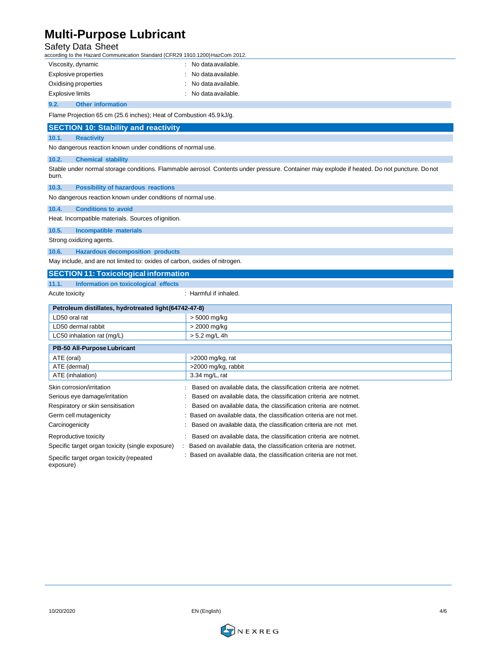Safety Data Sheet according to the Hazard Communication Standard (CFR29 1910.1200)HazCom 2012.

| according to the Hazard Communication Standard (CFR29 1910.1200) HazCom 2012.             |                                                                                                                                              |  |
|-------------------------------------------------------------------------------------------|----------------------------------------------------------------------------------------------------------------------------------------------|--|
| Viscosity, dynamic                                                                        | : No data available.                                                                                                                         |  |
| <b>Explosive properties</b>                                                               | No data available.                                                                                                                           |  |
| Oxidising properties                                                                      | No data available.                                                                                                                           |  |
| <b>Explosive limits</b>                                                                   | No data available.                                                                                                                           |  |
| 9.2.<br><b>Other information</b>                                                          |                                                                                                                                              |  |
| Flame Projection 65 cm (25.6 inches); Heat of Combustion 45.9 kJ/g.                       |                                                                                                                                              |  |
| <b>SECTION 10: Stability and reactivity</b>                                               |                                                                                                                                              |  |
| 10.1.<br><b>Reactivity</b>                                                                |                                                                                                                                              |  |
| No dangerous reaction known under conditions of normal use.                               |                                                                                                                                              |  |
| 10.2.<br><b>Chemical stability</b>                                                        |                                                                                                                                              |  |
| burn.                                                                                     | Stable under normal storage conditions. Flammable aerosol. Contents under pressure. Container may explode if heated. Do not puncture. Do not |  |
| 10.3.<br><b>Possibility of hazardous reactions</b>                                        |                                                                                                                                              |  |
| No dangerous reaction known under conditions of normal use.                               |                                                                                                                                              |  |
| 10.4.<br><b>Conditions to avoid</b>                                                       |                                                                                                                                              |  |
| Heat. Incompatible materials. Sources of ignition.                                        |                                                                                                                                              |  |
| 10.5.<br><b>Incompatible materials</b>                                                    |                                                                                                                                              |  |
| Strong oxidizing agents.                                                                  |                                                                                                                                              |  |
| 10.6.<br><b>Hazardous decomposition products</b>                                          |                                                                                                                                              |  |
| May include, and are not limited to: oxides of carbon, oxides of nitrogen.                |                                                                                                                                              |  |
| <b>SECTION 11: Toxicological information</b>                                              |                                                                                                                                              |  |
| 11.1.<br>Information on toxicological effects                                             |                                                                                                                                              |  |
| Acute toxicity                                                                            | : Harmful if inhaled.                                                                                                                        |  |
| Petroleum distillates, hydrotreated light (64742-47-8)                                    |                                                                                                                                              |  |
| LD50 oral rat<br>> 5000 mg/kg                                                             |                                                                                                                                              |  |
| LD50 dermal rabbit<br>> 2000 mg/kg                                                        |                                                                                                                                              |  |
| $> 5.2$ mg/L 4h<br>LC50 inhalation rat (mg/L)                                             |                                                                                                                                              |  |
| PB-50 All-Purpose Lubricant                                                               |                                                                                                                                              |  |
| ATE (oral)<br>>2000 mg/kg, rat                                                            |                                                                                                                                              |  |
| ATE (dermal)<br>>2000 mg/kg, rabbit                                                       |                                                                                                                                              |  |
| ATE (inhalation)                                                                          | 3.34 mg/L, rat                                                                                                                               |  |
| Skin corrosion/irritation                                                                 | Based on available data, the classification criteria are notmet.                                                                             |  |
| Serious eye damage/irritation                                                             | Based on available data, the classification criteria are notmet.                                                                             |  |
| Respiratory or skin sensitisation                                                         | Based on available data, the classification criteria are notmet.                                                                             |  |
| Germ cell mutagenicity                                                                    | Based on available data, the classification criteria are not met.                                                                            |  |
| Carcinogenicity                                                                           | Based on available data, the classification criteria are not met.                                                                            |  |
| Based on available data, the classification criteria are notmet.<br>Reproductive toxicity |                                                                                                                                              |  |

Specific target organ toxicity (single exposure) : Based on available data, the classification criteria are notmet.

: Based on available data, the classification criteria are not met.

Specific target organ toxicity (repeated exposure)

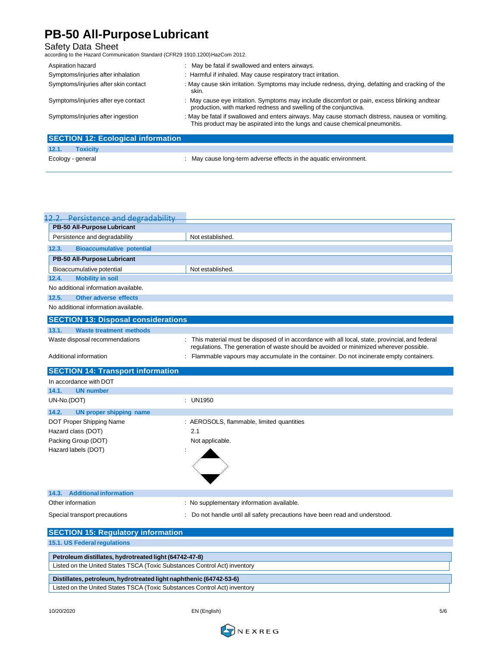## **PB-50 All-PurposeLubricant**

Safety Data Sheet according to the Hazard Communication Standard (CFR29 1910.1200)HazCom 2012.

| Aspiration hazard                         | : May be fatal if swallowed and enters airways.                                                                                                                                 |
|-------------------------------------------|---------------------------------------------------------------------------------------------------------------------------------------------------------------------------------|
| Symptoms/injuries after inhalation        | : Harmful if inhaled. May cause respiratory tract irritation.                                                                                                                   |
| Symptoms/injuries after skin contact      | : May cause skin irritation. Symptoms may include redness, drying, defatting and cracking of the<br>skin.                                                                       |
| Symptoms/injuries after eye contact       | : May cause eye irritation. Symptoms may include discomfort or pain, excess blinking andtear<br>production, with marked redness and swelling of the conjunctiva.                |
| Symptoms/injuries after ingestion         | : May be fatal if swallowed and enters airways. May cause stomach distress, nausea or vomiting.<br>This product may be aspirated into the lungs and cause chemical pneumonitis. |
| <b>SECTION 12: Ecological information</b> |                                                                                                                                                                                 |
| 12.1.<br><b>Toxicity</b>                  |                                                                                                                                                                                 |

| Ecology - general |  | May cause long-term adverse effects in the aquatic environment. |
|-------------------|--|-----------------------------------------------------------------|

| 12.2. Persistence and degradability                                       |                                                                                                                                                                                          |
|---------------------------------------------------------------------------|------------------------------------------------------------------------------------------------------------------------------------------------------------------------------------------|
| PB-50 All-Purpose Lubricant                                               |                                                                                                                                                                                          |
| Persistence and degradability                                             | Not established.                                                                                                                                                                         |
| 12.3.<br><b>Bioaccumulative potential</b>                                 |                                                                                                                                                                                          |
| PB-50 All-Purpose Lubricant                                               |                                                                                                                                                                                          |
| Bioaccumulative potential                                                 | Not established                                                                                                                                                                          |
| <b>Mobility in soil</b><br>12.4.                                          |                                                                                                                                                                                          |
| No additional information available.                                      |                                                                                                                                                                                          |
| <b>Other adverse effects</b><br>12.5.                                     |                                                                                                                                                                                          |
| No additional information available.                                      |                                                                                                                                                                                          |
| <b>SECTION 13: Disposal considerations</b>                                |                                                                                                                                                                                          |
| 13.1.<br><b>Waste treatment methods</b>                                   |                                                                                                                                                                                          |
| Waste disposal recommendations                                            | This material must be disposed of in accordance with all local, state, provincial, and federal<br>regulations. The generation of waste should be avoided or minimized wherever possible. |
| Additional information                                                    | Flammable vapours may accumulate in the container. Do not incinerate empty containers.                                                                                                   |
| <b>SECTION 14: Transport information</b>                                  |                                                                                                                                                                                          |
| In accordance with DOT                                                    |                                                                                                                                                                                          |
| 14.1.<br><b>UN number</b>                                                 |                                                                                                                                                                                          |
| UN-No.(DOT)                                                               | : UN1950                                                                                                                                                                                 |
| 14.2.<br><b>UN proper shipping name</b>                                   |                                                                                                                                                                                          |
| DOT Proper Shipping Name                                                  | : AEROSOLS, flammable, limited quantities                                                                                                                                                |
| Hazard class (DOT)                                                        | 2.1                                                                                                                                                                                      |
| Packing Group (DOT)                                                       | Not applicable.                                                                                                                                                                          |
| Hazard labels (DOT)                                                       |                                                                                                                                                                                          |
|                                                                           |                                                                                                                                                                                          |
| <b>Additional information</b><br>14.3.                                    |                                                                                                                                                                                          |
| Other information                                                         | : No supplementary information available.                                                                                                                                                |
| Special transport precautions                                             | Do not handle until all safety precautions have been read and understood.                                                                                                                |
| <b>SECTION 15: Regulatory information</b>                                 |                                                                                                                                                                                          |
| 15.1. US Federal regulations                                              |                                                                                                                                                                                          |
| Petroleum distillates, hydrotreated light (64742-47-8)                    |                                                                                                                                                                                          |
| Listed on the United States TSCA (Toxic Substances Control Act) inventory |                                                                                                                                                                                          |

**Distillates, petroleum, hydrotreated light naphthenic (64742-53-6)** Listed on the United States TSCA (Toxic Substances Control Act) inventory

10/20/2020 EN (English) 5/6